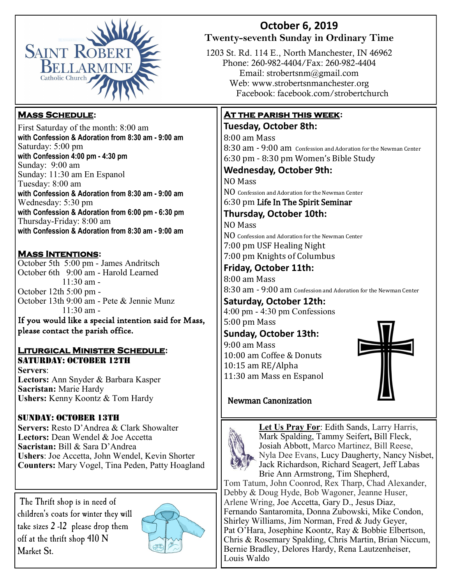

#### **Mass Schedule:**

First Saturday of the month: 8:00 am **with Confession & Adoration from 8:30 am - 9:00 am** Saturday: 5:00 pm **with Confession 4:00 pm - 4:30 pm**  Sunday: 9:00 am Sunday: 11:30 am En Espanol Tuesday: 8:00 am **with Confession & Adoration from 8:30 am - 9:00 am**  Wednesday: 5:30 pm **with Confession & Adoration from 6:00 pm - 6:30 pm**  Thursday-Friday: 8:00 am **with Confession & Adoration from 8:30 am - 9:00 am** 

#### **Mass Intentions:**

October 5th 5:00 pm - James Andritsch October 6th 9:00 am - Harold Learned  $11:30$  am -October 12th 5:00 pm - October 13th 9:00 am - Pete & Jennie Munz  $11:30$  am -

If you would like a special intention said for Mass, please contact the parish office. 

#### **Liturgical Minister Schedule:** Saturday: October 12th

**Servers**: **Lectors:** Ann Snyder & Barbara Kasper **Sacristan:** Marie Hardy **Ushers:** Kenny Koontz & Tom Hardy

#### Sunday: October 13th

**Servers:** Resto D'Andrea & Clark Showalter **Lectors:** Dean Wendel & Joe Accetta **Sacristan:** Bill & Sara D'Andrea **Ushers**: Joe Accetta, John Wendel, Kevin Shorter **Counters:** Mary Vogel, Tina Peden, Patty Hoagland

The Thrift shop is in need of children's coats for winter they will take sizes 2 -12 please drop them off at the thrift shop 410 N Market St.



#### **October 6, 2019 Twenty-seventh Sunday in Ordinary Time**

1203 St. Rd. 114 E., North Manchester, IN 46962 Phone: 260-982-4404/Fax: 260-982-4404 Email: strobertsnm@gmail.com Web: www.strobertsnmanchester.org Facebook: facebook.com/strobertchurch

#### **At the parish this week:**

#### **Tuesday, October 8th:**

8:00 am Mass 8:30 am - 9:00 am Confession and Adoration for the Newman Center 6:30 pm - 8:30 pm Women's Bible Study

### **Wednesday, October 9th:**

NO Mass

NO Confession and Adoration for the Newman Center

6:30 pm Life In The Spirit Seminar

#### **Thursday, October 10th:**

NO Mass

NO Confession and Adoration for the Newman Center 7:00 pm USF Healing Night 7:00 pm Knights of Columbus

**Friday, October 11th:** 

8:00 am Mass 8:30 am - 9:00 am Confession and Adoration for the Newman Center

#### **Saturday, October 12th:**

4:00 pm - 4:30 pm Confessions 5:00 pm Mass

#### **Sunday, October 13th:**

9:00 am Mass 10:00 am Coffee & Donuts 10:15 am RE/Alpha 11:30 am Mass en Espanol



#### Newman Canonization



**Let Us Pray For**: Edith Sands, Larry Harris, Mark Spalding, Tammy Seifert**,** Bill Fleck, Josiah Abbott, Marco Martinez, Bill Reese, Nyla Dee Evans, Lucy Daugherty, Nancy Nisbet, Jack Richardson, Richard Seagert, Jeff Labas Brie Ann Armstrong, Tim Shepherd,

Tom Tatum, John Coonrod, Rex Tharp, Chad Alexander, Debby & Doug Hyde, Bob Wagoner, Jeanne Huser, Arlene Wring, Joe Accetta, Gary D., Jesus Diaz, Fernando Santaromita, Donna Zubowski, Mike Condon, Shirley Williams, Jim Norman, Fred & Judy Geyer, Pat O'Hara, Josephine Koontz, Ray & Bobbie Elbertson, Chris & Rosemary Spalding, Chris Martin, Brian Niccum, Bernie Bradley, Delores Hardy, Rena Lautzenheiser, Louis Waldo